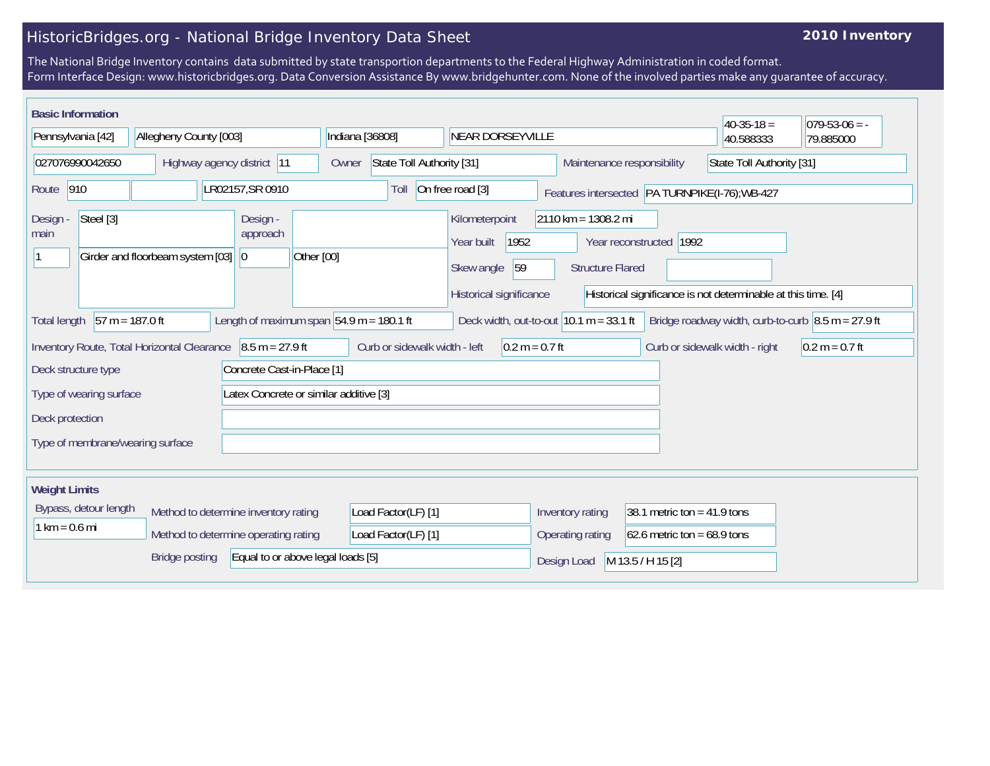## HistoricBridges.org - National Bridge Inventory Data Sheet

## **2010 Inventory**

The National Bridge Inventory contains data submitted by state transportion departments to the Federal Highway Administration in coded format. Form Interface Design: www.historicbridges.org. Data Conversion Assistance By www.bridgehunter.com. None of the involved parties make any guarantee of accuracy.

|                                                                                        | <b>Basic Information</b> |                                      |                                        |                                                                              |                                     |                                                                                     |                                                                  |                                                            | $40-35-18=$                                                   | $ 079-53-06 = -$ |
|----------------------------------------------------------------------------------------|--------------------------|--------------------------------------|----------------------------------------|------------------------------------------------------------------------------|-------------------------------------|-------------------------------------------------------------------------------------|------------------------------------------------------------------|------------------------------------------------------------|---------------------------------------------------------------|------------------|
| Pennsylvania [42]                                                                      |                          | Allegheny County [003]               |                                        |                                                                              | Indiana [36808]<br>NEAR DORSEYVILLE |                                                                                     |                                                                  |                                                            | 40.588333                                                     | 79.885000        |
| 027076990042650                                                                        |                          | Highway agency district 11           |                                        | Owner                                                                        | State Toll Authority [31]           |                                                                                     |                                                                  | Maintenance responsibility                                 | State Toll Authority [31]                                     |                  |
| 910<br>LR02157, SR 0910<br>Route                                                       |                          |                                      |                                        | On free road [3]<br>Toll<br>Features intersected   PA TURNPIKE(I-76); WB-427 |                                     |                                                                                     |                                                                  |                                                            |                                                               |                  |
| Design -<br>main                                                                       | Steel [3]                | Girder and floorbeam system [03]     | Design -<br>approach<br>$\overline{0}$ | Other [00]                                                                   |                                     | Kilometerpoint<br>Year built<br>1952<br>59<br>Skew angle<br>Historical significance | $2110 \text{ km} = 1308.2 \text{ mi}$<br><b>Structure Flared</b> | Year reconstructed 1992                                    | Historical significance is not determinable at this time. [4] |                  |
| $57 m = 187.0 ft$<br>Length of maximum span $54.9$ m = 180.1 ft<br><b>Total length</b> |                          |                                      |                                        | Deck width, out-to-out $10.1 m = 33.1 ft$                                    |                                     |                                                                                     |                                                                  | Bridge roadway width, curb-to-curb $\vert$ 8.5 m = 27.9 ft |                                                               |                  |
| $8.5 m = 27.9 ft$<br>Inventory Route, Total Horizontal Clearance                       |                          |                                      |                                        | Curb or sidewalk width - left<br>$0.2 m = 0.7 ft$                            |                                     |                                                                                     | Curb or sidewalk width - right                                   | $0.2 m = 0.7 ft$                                           |                                                               |                  |
| Concrete Cast-in-Place [1]<br>Deck structure type                                      |                          |                                      |                                        |                                                                              |                                     |                                                                                     |                                                                  |                                                            |                                                               |                  |
| Type of wearing surface<br>Latex Concrete or similar additive [3]                      |                          |                                      |                                        |                                                                              |                                     |                                                                                     |                                                                  |                                                            |                                                               |                  |
| Deck protection                                                                        |                          |                                      |                                        |                                                                              |                                     |                                                                                     |                                                                  |                                                            |                                                               |                  |
| Type of membrane/wearing surface                                                       |                          |                                      |                                        |                                                                              |                                     |                                                                                     |                                                                  |                                                            |                                                               |                  |
| <b>Weight Limits</b>                                                                   |                          |                                      |                                        |                                                                              |                                     |                                                                                     |                                                                  |                                                            |                                                               |                  |
| Bypass, detour length                                                                  |                          | Method to determine inventory rating |                                        | Load Factor(LF) [1]                                                          |                                     | 38.1 metric ton = $41.9$ tons<br>Inventory rating                                   |                                                                  |                                                            |                                                               |                  |
| $1 km = 0.6 mi$                                                                        |                          |                                      | Method to determine operating rating   |                                                                              | Load Factor(LF) [1]                 |                                                                                     | Operating rating                                                 | 62.6 metric ton = $68.9$ tons                              |                                                               |                  |
| Equal to or above legal loads [5]<br><b>Bridge posting</b>                             |                          |                                      |                                        |                                                                              | M 13.5 / H 15 [2]<br>Design Load    |                                                                                     |                                                                  |                                                            |                                                               |                  |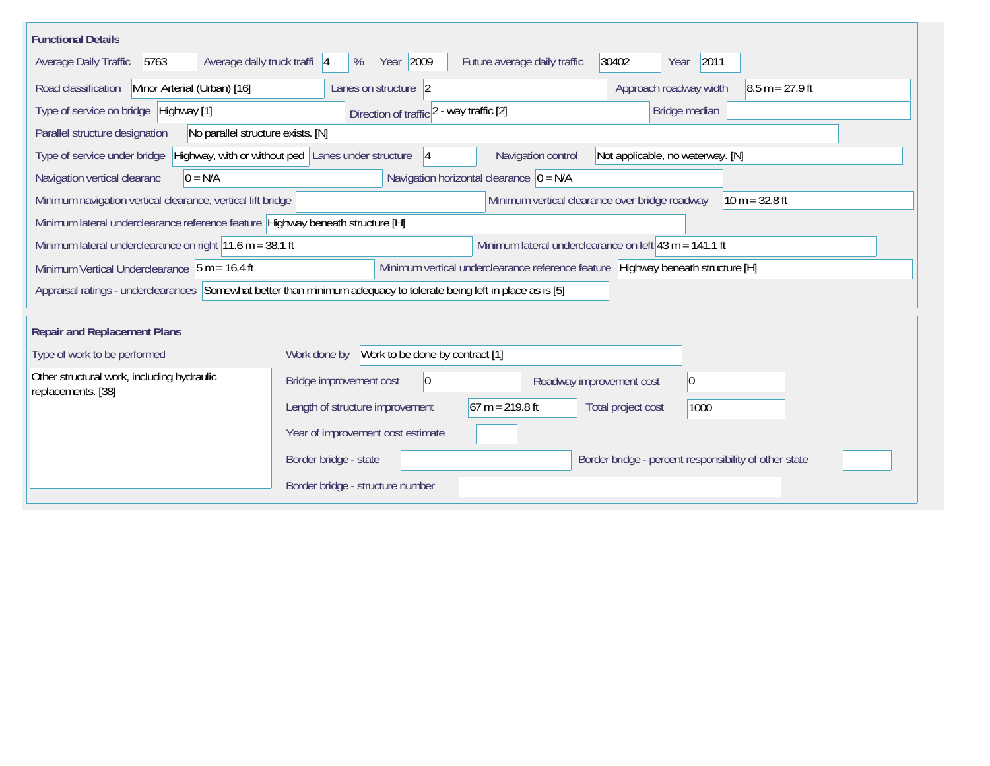| <b>Functional Details</b>                                                                                                                          |                                                                                                                                       |                              |                                                       |  |  |  |
|----------------------------------------------------------------------------------------------------------------------------------------------------|---------------------------------------------------------------------------------------------------------------------------------------|------------------------------|-------------------------------------------------------|--|--|--|
| Average daily truck traffi  4<br><b>Average Daily Traffic</b><br>5763                                                                              | Year 2009<br>%                                                                                                                        | Future average daily traffic | 2011<br>30402<br>Year                                 |  |  |  |
| Minor Arterial (Urban) [16]<br>Road classification<br>Approach roadway width<br>$8.5 m = 27.9 ft$<br>Lanes on structure 2                          |                                                                                                                                       |                              |                                                       |  |  |  |
| Type of service on bridge Highway [1]                                                                                                              | Direction of traffic 2 - way traffic [2]                                                                                              |                              | Bridge median                                         |  |  |  |
| No parallel structure exists. [N]<br>Parallel structure designation                                                                                |                                                                                                                                       |                              |                                                       |  |  |  |
| Highway, with or without ped Lanes under structure<br>Navigation control<br>Not applicable, no waterway. [N]<br>Type of service under bridge<br> 4 |                                                                                                                                       |                              |                                                       |  |  |  |
| Navigation horizontal clearance $ 0 = N/A$<br>Navigation vertical clearanc<br>$0 = N/A$                                                            |                                                                                                                                       |                              |                                                       |  |  |  |
|                                                                                                                                                    | Minimum vertical clearance over bridge roadway<br>Minimum navigation vertical clearance, vertical lift bridge<br>$10 m = 32.8 ft$     |                              |                                                       |  |  |  |
| Minimum lateral underclearance reference feature Highway beneath structure [H]                                                                     |                                                                                                                                       |                              |                                                       |  |  |  |
|                                                                                                                                                    | Minimum lateral underclearance on left 43 m = 141.1 ft<br>Minimum lateral underclearance on right $ 11.6 \text{ m} = 38.1 \text{ ft}$ |                              |                                                       |  |  |  |
| Minimum Vertical Underclearance $ 5 m = 16.4 ft$                                                                                                   | Minimum vertical underclearance reference feature Highway beneath structure [H]                                                       |                              |                                                       |  |  |  |
| Appraisal ratings - underclearances Somewhat better than minimum adequacy to tolerate being left in place as is [5]                                |                                                                                                                                       |                              |                                                       |  |  |  |
| <b>Repair and Replacement Plans</b>                                                                                                                |                                                                                                                                       |                              |                                                       |  |  |  |
| Type of work to be performed                                                                                                                       | Work to be done by contract [1]<br>Work done by                                                                                       |                              |                                                       |  |  |  |
| Other structural work, including hydraulic<br>replacements. [38]                                                                                   | Bridge improvement cost<br>$\vert 0 \vert$                                                                                            | Roadway improvement cost     | 0                                                     |  |  |  |
|                                                                                                                                                    | Length of structure improvement                                                                                                       | $67 m = 219.8 ft$            | Total project cost<br>1000                            |  |  |  |
|                                                                                                                                                    | Year of improvement cost estimate                                                                                                     |                              |                                                       |  |  |  |
|                                                                                                                                                    | Border bridge - state                                                                                                                 |                              | Border bridge - percent responsibility of other state |  |  |  |
|                                                                                                                                                    | Border bridge - structure number                                                                                                      |                              |                                                       |  |  |  |